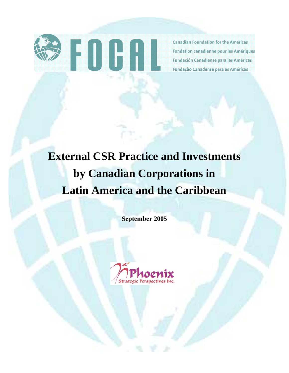

**Canadian Foundation for the Americas** Fondation canadienne pour les Amériques Fundación Canadiense para las Américas Fundação Canadense para as Américas

# **External CSR Practice and Investments by Canadian Corporations in Latin America and the Caribbean**

**September 2005** 

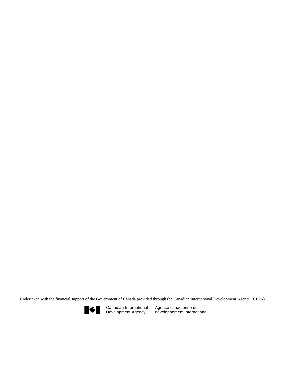Undertaken with the financial support of the Government of Canada provided through the Canadian International Development Agency (CIDA)



Canadian International Development Agency

Agence canadienne de développement international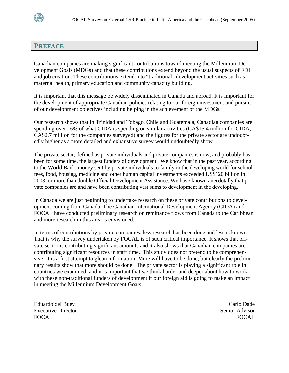

## **PREFACE**

Canadian companies are making significant contributions toward meeting the Millennium Development Goals (MDGs) and that these contributions extend beyond the usual suspects of FDI and job creation. These contributions extend into "traditional" development activities such as maternal health, primary education and community capacity building.

It is important that this message be widely disseminated in Canada and abroad. It is important for the development of appropriate Canadian policies relating to our foreign investment and pursuit of our development objectives including helping in the achievement of the MDGs.

Our research shows that in Trinidad and Tobago, Chile and Guatemala, Canadian companies are spending over 16% of what CIDA is spending on similar activities (CA\$15.4 million for CIDA, CA\$2.7 million for the companies surveyed) and the figures for the private sector are undoubtedly higher as a more detailed and exhaustive survey would undoubtedly show.

The private sector, defined as private individuals and private companies is now, and probably has been for some time, the largest funders of development. We know that in the past year, according to the World Bank, money sent by private individuals to family in the developing world for school fees, food, housing, medicine and other human capital investments exceeded US\$120 billion in 2003, or more than double Official Development Assistance. We have known anecdotally that private companies are and have been contributing vast sums to development in the developing.

In Canada we are just beginning to undertake research on these private contributions to development coming from Canada The Canadian International Development Agency (CIDA) and FOCAL have conducted preliminary research on remittance flows from Canada to the Caribbean and more research in this area is envisioned.

In terms of contributions by private companies, less research has been done and less is known That is why the survey undertaken by FOCAL is of such critical importance. It shows that private sector is contributing significant amounts and it also shows that Canadian companies are contributing significant resources in staff time. This study does not pretend to be comprehensive. It is a first attempt to glean information. More will have to be done, but clearly the preliminary results show that more should be done. The private sector is playing a significant role in countries we examined, and it is important that we think harder and deeper about how to work with these non-traditional funders of development if our foreign aid is going to make an impact in meeting the Millennium Development Goals

Eduardo del Buey Carlo Dade Executive Director Senior Advisor FOCAL FOCAL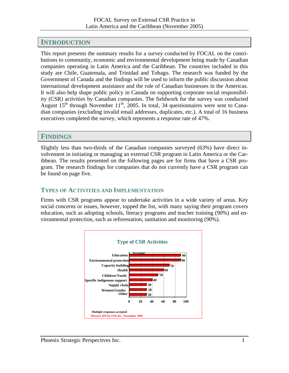# **INTRODUCTION**

This report presents the summary results for a survey conducted by FOCAL on the contributions to community, economic and environmental development being made by Canadian companies operating in Latin America and the Caribbean. The countries included in this study are Chile, Guatemala, and Trinidad and Tobago. The research was funded by the Government of Canada and the findings will be used to inform the public discussion about international development assistance and the role of Canadian businesses in the Americas. It will also help shape public policy in Canada on supporting corporate social responsibility (CSR) activities by Canadian companies. The fieldwork for the survey was conducted August  $15<sup>th</sup>$  through November  $11<sup>th</sup>$ , 2005. In total, 34 questionnaires were sent to Canadian companies (excluding invalid email addresses, duplicates, etc.). A total of 16 business executives completed the survey, which represents a response rate of 47%.

# **FINDINGS**

Slightly less than two-thirds of the Canadian companies surveyed (63%) have direct involvement in initiating or managing an external CSR program in Latin America or the Caribbean. The results presented on the following pages are for firms that have a CSR program. The research findings for companies that do not currently have a CSR program can be found on page five.

# **TYPES OF ACTIVITIES AND IMPLEMENTATION**

Firms with CSR programs appear to undertake activities in a wide variety of areas. Key social concerns or issues, however, topped the list, with many saying their program covers education, such as adopting schools, literacy programs and teacher training (90%) and environmental protection, such as reforestation, sanitation and monitoring (90%).

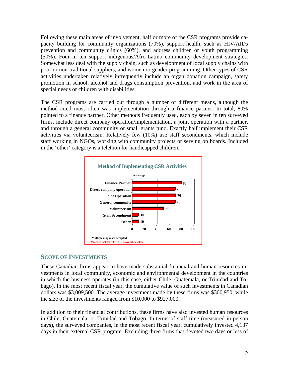Following these main areas of involvement, half or more of the CSR programs provide capacity building for community organizations (70%), support health, such as HIV/AIDs prevention and community clinics (60%), and address children or youth programming (50%). Four in ten support indigenous/Afro-Latino community development strategies. Somewhat less deal with the supply chain, such as development of local supply chains with poor or non-traditional suppliers, and women or gender programming. Other types of CSR activities undertaken relatively infrequently include an organ donation campaign, safety promotion in school, alcohol and drugs consumption prevention, and work in the area of special needs or children with disabilities.

The CSR programs are carried out through a number of different means, although the method cited most often was implementation through a finance partner. In total, 80% pointed to a finance partner. Other methods frequently used, each by seven in ten surveyed firms, include direct company operation/implementation, a joint operation with a partner, and through a general community or small grants fund. Exactly half implement their CSR activities via volunteerism. Relatively few (10%) use staff secondments, which include staff working in NGOs, working with community projects or serving on boards. Included in the 'other' category is a telethon for handicapped children.



### **SCOPE OF INVESTMENTS**

These Canadian firms appear to have made substantial financial and human resources investments in local community, economic and environmental development in the countries in which the business operates (in this case, either Chile, Guatemala, or Trinidad and Tobago). In the most recent fiscal year, the cumulative value of such investments in Canadian dollars was \$3,009,500. The average investment made by these firms was \$300,950, while the size of the investments ranged from \$10,000 to \$927,000.

In addition to their financial contributions, these firms have also invested human resources in Chile, Guatemala, or Trinidad and Tobago. In terms of staff time (measured in person days), the surveyed companies, in the most recent fiscal year, cumulatively invested 4,137 days in their external CSR program. Excluding three firms that devoted two days or less of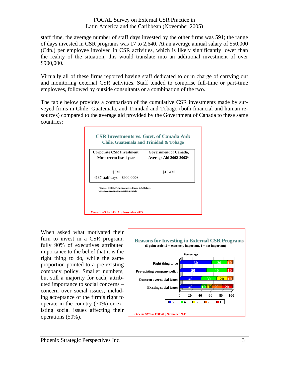staff time, the average number of staff days invested by the other firms was 591; the range of days invested in CSR programs was 17 to 2,640. At an average annual salary of \$50,000 (Cdn.) per employee involved in CSR activities, which is likely significantly lower than the reality of the situation, this would translate into an additional investment of over \$900,000.

Virtually all of these firms reported having staff dedicated to or in charge of carrying out and monitoring external CSR activities. Staff tended to comprise full-time or part-time employees, followed by outside consultants or a combination of the two.

The table below provides a comparison of the cumulative CSR investments made by surveyed firms in Chile, Guatemala, and Trinidad and Tobago (both financial and human resources) compared to the average aid provided by the Government of Canada to these same countries:



When asked what motivated their firm to invest in a CSR program, fully 90% of executives attributed importance to the belief that it is the right thing to do, while the same proportion pointed to a pre-existing company policy. Smaller numbers, but still a majority for each, attributed importance to social concerns – concern over social issues, including acceptance of the firm's right to operate in the country (70%) or existing social issues affecting their operations (50%). *Phoenix SPI* **for FOCAL; November 2005**

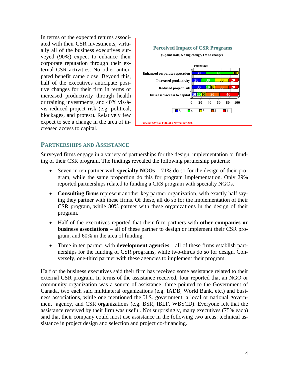In terms of the expected returns associated with their CSR investments, virtually all of the business executives surveyed (90%) expect to enhance their corporate reputation through their external CSR activities. No other anticipated benefit came close. Beyond this, half of the executives anticipate positive changes for their firm in terms of increased productivity through health or training investments, and 40% vis-àvis reduced project risk (e.g. political, blockages, and protest). Relatively few expect to see a change in the area of increased access to capital.



#### **PARTNERSHIPS AND ASSISTANCE**

Surveyed firms engage in a variety of partnerships for the design, implementation or funding of their CSR program. The findings revealed the following partnership patterns:

- Seven in ten partner with **specialty NGOs** 71% do so for the design of their program, while the same proportion do this for program implementation. Only 29% reported partnerships related to funding a CRS program with specialty NGOs.
- **Consulting firms** represent another key partner organization, with exactly half saying they partner with these firms. Of these, all do so for the implementation of their CSR program, while 80% partner with these organizations in the design of their program.
- Half of the executives reported that their firm partners with **other companies or business associations** – all of these partner to design or implement their CSR program, and 60% in the area of funding.
- Three in ten partner with **development agencies** all of these firms establish partnerships for the funding of CSR programs, while two-thirds do so for design. Conversely, one-third partner with these agencies to implement their program.

Half of the business executives said their firm has received some assistance related to their external CSR program. In terms of the assistance received, four reported that an NGO or community organization was a source of assistance, three pointed to the Government of Canada, two each said multilateral organizations (e.g. IADB, World Bank, etc.) and business associations, while one mentioned the U.S. government, a local or national government agency, and CSR organizations (e.g. BSR, IBLF, WBSCD). Everyone felt that the assistance received by their firm was useful. Not surprisingly, many executives (75% each) said that their company could most use assistance in the following two areas: technical assistance in project design and selection and project co-financing.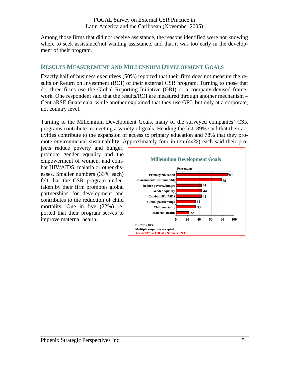Among those firms that did not receive assistance, the reasons identified were not knowing where to seek assistance/not wanting assistance, and that it was too early in the development of their program.

# **RESULTS MEASUREMENT AND MILLENNIUM DEVELOPMENT GOALS**

Exactly half of business executives (50%) reported that their firm does not measure the results or Return on Investment (ROI) of their external CSR program. Turning to those that do, three firms use the Global Reporting Initiative (GRI) or a company-devised framework. One respondent said that the results/ROI are measured through another mechanism – CentraRSE Guatemala, while another explained that they use GRI, but only at a corporate, not country level.

Turning to the Millennium Development Goals, many of the surveyed companies' CSR programs contribute to meeting a variety of goals. Heading the list, 89% said that their activities contribute to the expansion of access to primary education and 78% that they promote environmental sustainability. Approximately four in ten (44%) each said their pro-

jects reduce poverty and hunger, promote gender equality and the empowerment of women, and combat HIV/AIDS, malaria or other diseases. Smaller numbers (33% each) felt that the CSR program undertaken by their firm promotes global partnerships for development and contributes to the reduction of child mortality. One in five (22%) reported that their program serves to improve maternal health.

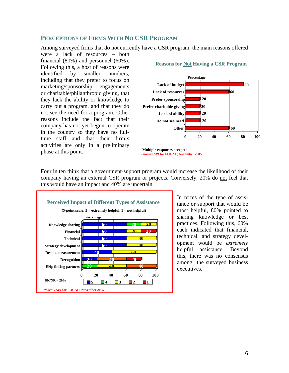#### **PERCEPTIONS OF FIRMS WITH NO CSR PROGRAM**

Among surveyed firms that do not currently have a CSR program, the main reasons offered

were a lack of resources – both financial (80%) and personnel (60%). Following this, a host of reasons were identified by smaller numbers, including that they prefer to focus on marketing/sponsorship engagements or charitable/philanthropic giving, that they lack the ability or knowledge to carry out a program, and that they do not see the need for a program. Other reasons include the fact that their company has not yet begun to operate in the country so they have no fulltime staff and that their firm's activities are only in a preliminary phase at this point.



Four in ten think that a government-support program would increase the likelihood of their company having an external CSR program or projects. Conversely, 20% do not feel that this would have an impact and 40% are uncertain.



In terms of the type of assistance or support that would be most helpful, 80% pointed to sharing knowledge or best practices. Following this, 60% each indicated that financial, technical, and strategy development would be *extremely* helpful assistance. Beyond this, there was no consensus among the surveyed business executives.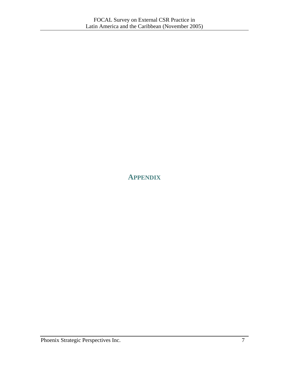# **APPENDIX**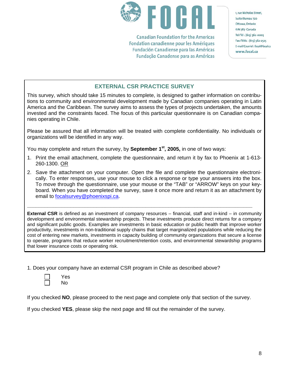

**Canadian Foundation for the Americas** Fondation canadienne pour les Amériques **Fundación Canadiense para las Américas** Fundação Canadense para as Américas 1, rue Nicholas Street, Suite/Bureau 720 Ottawa, Ontario K1N 7B7 Canada Tel/Tél: (613) 562-0005 Fax/Téléc: (613) 562-2525 E-mail/Courriel: focal@focal.ca www.focal.ca

## **EXTERNAL CSR PRACTICE SURVEY**

This survey, which should take 15 minutes to complete, is designed to gather information on contributions to community and environmental development made by Canadian companies operating in Latin America and the Caribbean. The survey aims to assess the types of projects undertaken, the amounts invested and the constraints faced. The focus of this particular questionnaire is on Canadian companies operating in Chile.

Please be assured that all information will be treated with complete confidentiality. No individuals or organizations will be identified in any way.

You may complete and return the survey, by **September 1st, 2005,** in one of two ways:

- 1. Print the email attachment, complete the questionnaire, and return it by fax to Phoenix at 1-613- 260-1300. OR
- 2. Save the attachment on your computer. Open the file and complete the questionnaire electronically. To enter responses, use your mouse to click a response or type your answers into the box. To move through the questionnaire, use your mouse or the "TAB" or "ARROW" keys on your keyboard. When you have completed the survey, save it once more and return it as an attachment by email to [focalsurvey@phoenixspi.ca](mailto:focalsurvey@phoenixspi.ca).

**\_\_\_\_\_\_\_\_\_\_\_\_\_\_\_\_\_\_\_\_\_\_\_\_\_\_\_\_\_\_\_\_\_\_\_\_\_\_\_\_\_\_\_\_\_\_\_\_\_\_\_\_\_\_\_\_\_\_\_\_\_\_\_\_\_\_\_\_\_\_\_\_\_\_\_\_\_\_** 

**External CSR** is defined as an investment of company resources – financial, staff and in-kind – in community development and environmental stewardship projects. These investments produce direct returns for a company and significant public goods. Examples are investments in basic education or public health that improve worker productivity, investments in non-traditional supply chains that target marginalized populations while reducing the cost of entering new markets, investments in capacity building of community organizations that secure a license to operate, programs that reduce worker recruitment/retention costs, and environmental stewardship programs that lower insurance costs or operating risk.

1. Does your company have an external CSR program in Chile as described above?

| ∃ | Yes |
|---|-----|
|   | No  |

If you checked **NO**, please proceed to the next page and complete only that section of the survey.

If you checked **YES**, please skip the next page and fill out the remainder of the survey.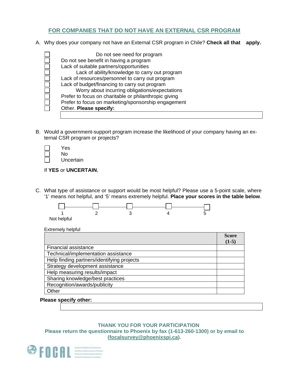#### **FOR COMPANIES THAT DO NOT HAVE AN EXTERNAL CSR PROGRAM**

A. Why does your company not have an External CSR program in Chile? **Check all that apply.**

| Do not see need for program                           |
|-------------------------------------------------------|
| Do not see benefit in having a program                |
| Lack of suitable partners/opportunities               |
| Lack of ability/knowledge to carry out program        |
| Lack of resources/personnel to carry out program      |
| Lack of budget/financing to carry out program         |
| Worry about incurring obligations/expectations        |
| Prefer to focus on charitable or philanthropic giving |
| Prefer to focus on marketing/sponsorship engagement   |
| Other. Please specify:                                |
|                                                       |

B. Would a government-support program increase the likelihood of your company having an external CSR program or projects?

| Yes       |
|-----------|
| No.       |
| Uncertain |

If **YES** or **UNCERTAIN**,

C. What type of assistance or support would be most helpful? Please use a 5-point scale, where '1' means not helpful, and '5' means extremely helpful. **Place your scores in the table below**.



Not helpful

Extremely helpful

|                                            | <b>Score</b> |
|--------------------------------------------|--------------|
|                                            | $(1-5)$      |
| <b>Financial assistance</b>                |              |
| Technical/implementation assistance        |              |
| Help finding partners/identifying projects |              |
| Strategy development assistance            |              |
| Help measuring results/impact              |              |
| Sharing knowledge/best practices           |              |
| Recognition/awards/publicity               |              |
| Other                                      |              |

#### **Please specify other:**

#### **THANK YOU FOR YOUR PARTICIPATION Please return the questionnaire to Phoenix by fax (1-613-260-1300) or by email to ([focalsurvey@phoenixspi.ca](mailto:focalsurvey@phoenixspi.ca)).**

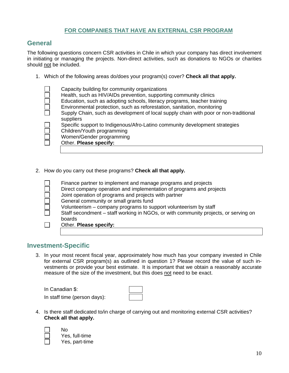#### **FOR COMPANIES THAT HAVE AN EXTERNAL CSR PROGRAM**

# **General**

The following questions concern CSR activities in Chile in which your company has direct involvement in initiating or managing the projects. Non-direct activities, such as donations to NGOs or charities should not be included.

1. Which of the following areas do/does your program(s) cover? **Check all that apply.**

| Capacity building for community organizations                                        |
|--------------------------------------------------------------------------------------|
| Health, such as HIV/AIDs prevention, supporting community clinics                    |
| Education, such as adopting schools, literacy programs, teacher training             |
| Environmental protection, such as reforestation, sanitation, monitoring              |
| Supply Chain, such as development of local supply chain with poor or non-traditional |
| suppliers                                                                            |
| Specific support to Indigenous/Afro-Latino community development strategies          |
| Children/Youth programming                                                           |
| Women/Gender programming                                                             |
| Other. Please specify:                                                               |
|                                                                                      |

2. How do you carry out these programs? **Check all that apply.**

| Finance partner to implement and manage programs and projects                       |
|-------------------------------------------------------------------------------------|
| Direct company operation and implementation of programs and projects                |
| Joint operation of programs and projects with partner                               |
| General community or small grants fund                                              |
| Volunteerism – company programs to support volunteerism by staff                    |
| Staff secondment – staff working in NGOs, or with community projects, or serving on |
| boards                                                                              |
| Other. Please specify:                                                              |
|                                                                                     |

## **Investment-Specific**

3. In your most recent fiscal year, approximately how much has your company invested in Chile for external CSR program(s) as outlined in question 1? Please record the value of such investments or provide your best estimate. It is important that we obtain a reasonably accurate measure of the size of the investment, but this does not need to be exact.

| In Canadian \$:              |  |
|------------------------------|--|
| In staff time (person days): |  |

4. Is there staff dedicated to/in charge of carrying out and monitoring external CSR activities? **Check all that apply.**

No Yes, full-time Yes, part-time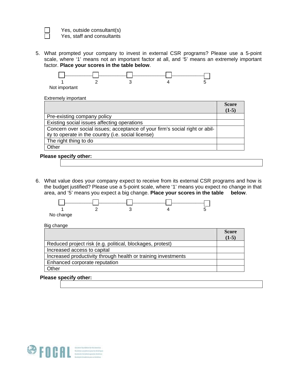

Yes, outside consultant(s) Yes, staff and consultants

5. What prompted your company to invest in external CSR programs? Please use a 5-point scale, where '1' means not an important factor at all, and '5' means an extremely important factor. **Place your scores in the table below**.



Extremely important

|                                                                             | <b>Score</b> |
|-----------------------------------------------------------------------------|--------------|
|                                                                             | $(1-5)$      |
| Pre-existing company policy                                                 |              |
| Existing social issues affecting operations                                 |              |
| Concern over social issues; acceptance of your firm's social right or abil- |              |
| ity to operate in the country (i.e. social license)                         |              |
| The right thing to do                                                       |              |
| Other                                                                       |              |

#### **Please specify other:**

6. What value does your company expect to receive from its external CSR programs and how is the budget justified? Please use a 5-point scale, where '1' means you expect no change in that area, and '5' means you expect a big change. **Place your scores in the table below**.



Big change

|                                                               | <b>Score</b> |
|---------------------------------------------------------------|--------------|
|                                                               | $(1-5)$      |
| Reduced project risk (e.g. political, blockages, protest)     |              |
| Increased access to capital                                   |              |
| Increased productivity through health or training investments |              |
| Enhanced corporate reputation                                 |              |
| Other                                                         |              |

#### **Please specify other:**

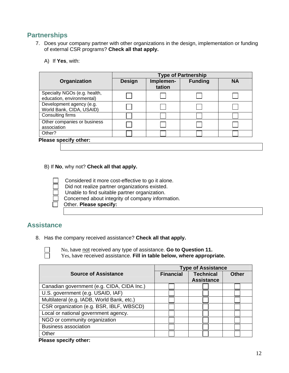# **Partnerships**

- 7. Does your company partner with other organizations in the design, implementation or funding of external CSR programs? **Check all that apply.**
	- A) If **Yes**, with:

|                                                           | <b>Type of Partnership</b> |                     |                |           |
|-----------------------------------------------------------|----------------------------|---------------------|----------------|-----------|
| Organization                                              | <b>Design</b>              | Implemen-<br>tation | <b>Funding</b> | <b>NA</b> |
| Specialty NGOs (e.g. health,<br>education, environmental) |                            |                     |                |           |
| Development agency (e.g.<br>World Bank, CIDA, USAID)      |                            |                     |                |           |
| Consulting firms                                          |                            |                     |                |           |
| Other companies or business<br>association                |                            |                     |                |           |
| Other?                                                    |                            |                     |                |           |

B) If **No**, why not? **Check all that apply.**

Considered it more cost-effective to go it alone.

Did not realize partner organizations existed.

Unable to find suitable partner organization.

Concerned about integrity of company information.

Other. **Please specify:**

# **Assistance**

8. Has the company received assistance? **Check all that apply.**

No, have not received any type of assistance. **Go to Question 11.**

Yes, have received assistance. **Fill in table below, where appropriate.**

|                                            | <b>Type of Assistance</b> |                   |              |
|--------------------------------------------|---------------------------|-------------------|--------------|
| <b>Source of Assistance</b>                | <b>Financial</b>          | <b>Technical</b>  | <b>Other</b> |
|                                            |                           | <b>Assistance</b> |              |
| Canadian government (e.g. CIDA, CIDA Inc.) |                           |                   |              |
| U.S. government (e.g. USAID, IAF)          |                           |                   |              |
| Multilateral (e.g. IADB, World Bank, etc.) |                           |                   |              |
| CSR organization (e.g. BSR, IBLF, WBSCD)   |                           |                   |              |
| Local or national government agency.       |                           |                   |              |
| NGO or community organization              |                           |                   |              |
| <b>Business association</b>                |                           |                   |              |
| Other                                      |                           |                   |              |
|                                            |                           |                   |              |

#### **Please specify other:**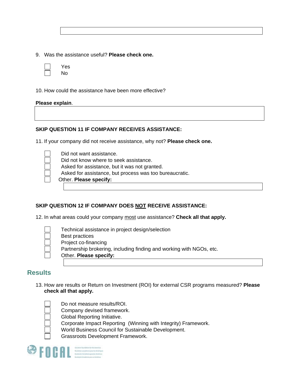9. Was the assistance useful? **Please check one.**

| Yes |
|-----|
| No  |

10. How could the assistance have been more effective?

#### **Please explain**.

#### **SKIP QUESTION 11 IF COMPANY RECEIVES ASSISTANCE:**

11. If your company did not receive assistance, why not? **Please check one.**

Did not want assistance.

- Did not know where to seek assistance.
- Asked for assistance, but it was not granted.
- Asked for assistance, but process was too bureaucratic.

Other. **Please specify:**

#### **SKIP QUESTION 12 IF COMPANY DOES NOT RECEIVE ASSISTANCE:**

12. In what areas could your company most use assistance? **Check all that apply.**



Technical assistance in project design/selection Best practices Project co-financing Partnership brokering, including finding and working with NGOs, etc. Other. **Please specify:**

# **Results**

13. How are results or Return on Investment (ROI) for external CSR programs measured? **Please check all that apply.**



Do not measure results/ROI.

- Company devised framework.
- Global Reporting Initiative.
- Corporate Impact Reporting (Winning with Integrity) Framework.
- World Business Council for Sustainable Development.
- Grassroots Development Framework.